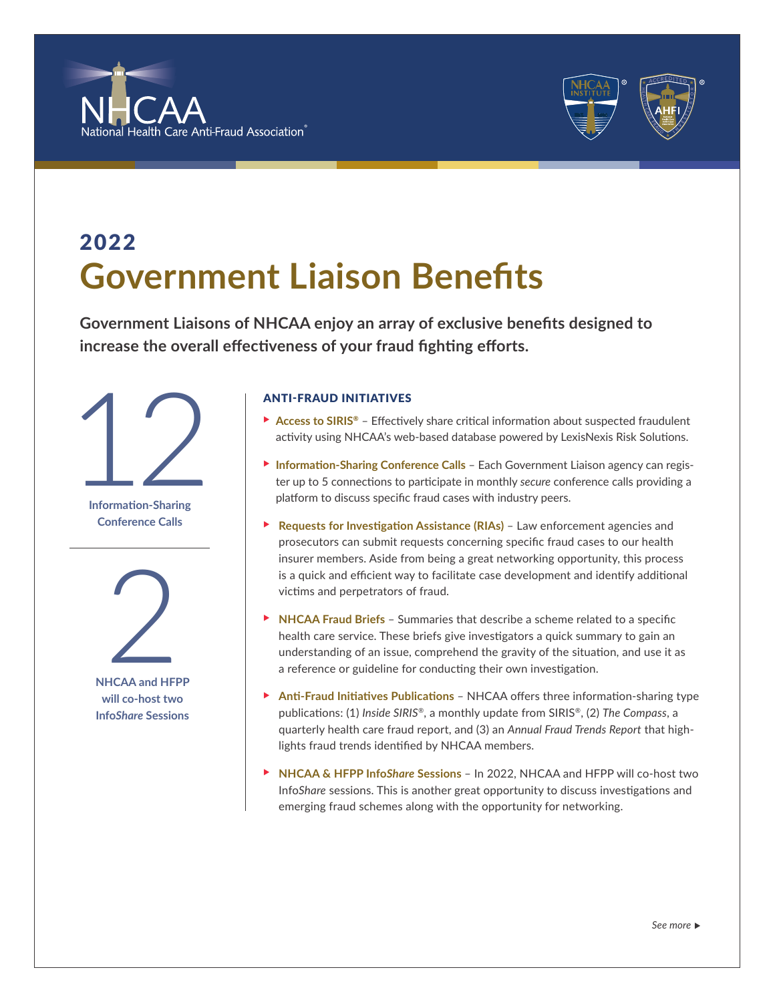



## 2022 **Government Liaison Benefits**

**Government Liaisons of NHCAA enjoy an array of exclusive benefits designed to increase the overall effectiveness of your fraud fighting efforts.** 



**Information-Sharing Conference Calls**



**NHCAA and HFPP will co-host two Info***Share* **Sessions**

### ANTI-FRAUD INITIATIVES

- ▶ Access to SIRIS<sup>®</sup> Effectively share critical information about suspected fraudulent activity using NHCAA's web-based database powered by LexisNexis Risk Solutions.
- **Information-Sharing Conference Calls** Each Government Liaison agency can register up to 5 connections to participate in monthly *secure* conference calls providing a platform to discuss specific fraud cases with industry peers.
- ▶ Requests for Investigation Assistance (RIAs) Law enforcement agencies and prosecutors can submit requests concerning specific fraud cases to our health insurer members. Aside from being a great networking opportunity, this process is a quick and efficient way to facilitate case development and identify additional victims and perpetrators of fraud.
- **NHCAA Fraud Briefs** Summaries that describe a scheme related to a specific health care service. These briefs give investigators a quick summary to gain an understanding of an issue, comprehend the gravity of the situation, and use it as a reference or guideline for conducting their own investigation.
- ▶ Anti-Fraud Initiatives Publications NHCAA offers three information-sharing type publications: (1) *Inside SIRIS®*, a monthly update from SIRIS®, (2) *The Compass*, a quarterly health care fraud report, and (3) an *Annual Fraud Trends Report* that highlights fraud trends identified by NHCAA members.
- ▶ NHCAA & HFPP Info*Share* Sessions In 2022, NHCAA and HFPP will co-host two Info*Share* sessions. This is another great opportunity to discuss investigations and emerging fraud schemes along with the opportunity for networking.